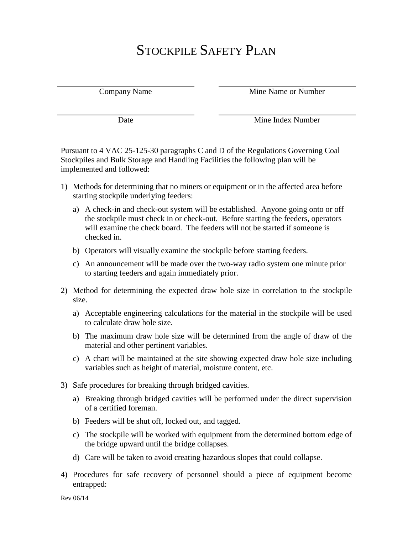## STOCKPILE SAFETY PLAN

Company Name Mine Name or Number

Date Mine Index Number

Pursuant to 4 VAC 25-125-30 paragraphs C and D of the Regulations Governing Coal Stockpiles and Bulk Storage and Handling Facilities the following plan will be implemented and followed:

- 1) Methods for determining that no miners or equipment or in the affected area before starting stockpile underlying feeders:
	- a) A check-in and check-out system will be established. Anyone going onto or off the stockpile must check in or check-out. Before starting the feeders, operators will examine the check board. The feeders will not be started if someone is checked in.
	- b) Operators will visually examine the stockpile before starting feeders.
	- c) An announcement will be made over the two-way radio system one minute prior to starting feeders and again immediately prior.
- 2) Method for determining the expected draw hole size in correlation to the stockpile size.
	- a) Acceptable engineering calculations for the material in the stockpile will be used to calculate draw hole size.
	- b) The maximum draw hole size will be determined from the angle of draw of the material and other pertinent variables.
	- c) A chart will be maintained at the site showing expected draw hole size including variables such as height of material, moisture content, etc.
- 3) Safe procedures for breaking through bridged cavities.
	- a) Breaking through bridged cavities will be performed under the direct supervision of a certified foreman.
	- b) Feeders will be shut off, locked out, and tagged.
	- c) The stockpile will be worked with equipment from the determined bottom edge of the bridge upward until the bridge collapses.
	- d) Care will be taken to avoid creating hazardous slopes that could collapse.
- 4) Procedures for safe recovery of personnel should a piece of equipment become entrapped: